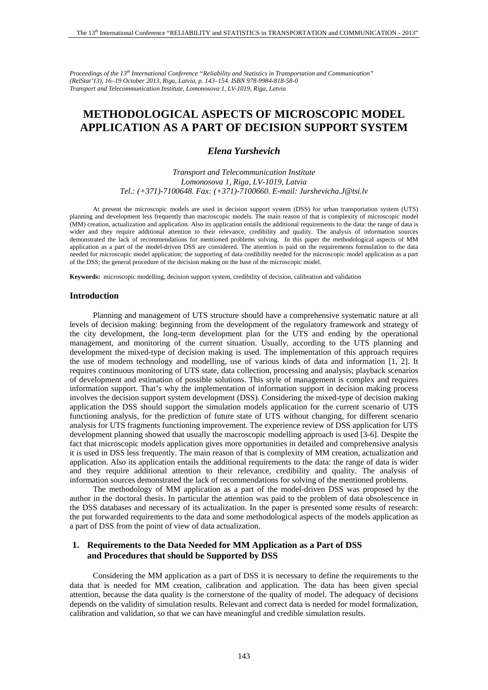*Proceedings of the 13th International Conference "Reliability and Statistics in Transportation and Communication" (RelStat'13), 16–19 October 2013, Riga, Latvia, p. 143–154. ISBN 978-9984-818-58-0 Transport and Telecommunication Institute, Lomonosova 1, LV-1019, Riga, Latvia* 

# **METHODOLOGICAL ASPECTS OF MICROSCOPIC MODEL APPLICATION AS A PART OF DECISION SUPPORT SYSTEM**

# *Elena Yurshevich*

*Transport and Telecommunication Institute Lomonosova 1, Riga, LV-1019, Latvia Tel.: (+371)-7100648. Fax: (+371)-7100660. E-mail: Jurshevicha.J@tsi.lv*

At present the microscopic models are used in decision support system (DSS) for urban transportation system (UTS) planning and development less frequently than macroscopic models. The main reason of that is complexity of microscopic model (MM) creation, actualization and application. Also its application entails the additional requirements to the data: the range of data is wider and they require additional attention to their relevance, credibility and quality. The analysis of information sources demonstrated the lack of recommendations for mentioned problems solving. In this paper the methodological aspects of MM application as a part of the model-driven DSS are considered. The attention is paid on the requirements formulation to the data needed for microscopic model application; the supporting of data credibility needed for the microscopic model application as a part of the DSS; the general procedure of the decision making on the base of the microscopic model.

**Keywords:** microscopic modelling, decision support system, credibility of decision, calibration and validation

#### **Introduction**

Planning and management of UTS structure should have a comprehensive systematic nature at all levels of decision making: beginning from the development of the regulatory framework and strategy of the city development, the long-term development plan for the UTS and ending by the operational management, and monitoring of the current situation. Usually, according to the UTS planning and development the mixed-type of decision making is used. The implementation of this approach requires the use of modern technology and modelling, use of various kinds of data and information [1, 2]. It requires continuous monitoring of UTS state, data collection, processing and analysis; playback scenarios of development and estimation of possible solutions. This style of management is complex and requires information support. That's why the implementation of information support in decision making process involves the decision support system development (DSS). Considering the mixed-type of decision making application the DSS should support the simulation models application for the current scenario of UTS functioning analysis, for the prediction of future state of UTS without changing, for different scenario analysis for UTS fragments functioning improvement. The experience review of DSS application for UTS development planning showed that usually the macroscopic modelling approach is used [3-6]. Despite the fact that microscopic models application gives more opportunities in detailed and comprehensive analysis it is used in DSS less frequently. The main reason of that is complexity of MM creation, actualization and application. Also its application entails the additional requirements to the data: the range of data is wider and they require additional attention to their relevance, credibility and quality. The analysis of information sources demonstrated the lack of recommendations for solving of the mentioned problems.

The methodology of MM application as a part of the model-driven DSS was proposed by the author in the doctoral thesis. In particular the attention was paid to the problem of data obsolescence in the DSS databases and necessary of its actualization. In the paper is presented some results of research: the put forwarded requirements to the data and some methodological aspects of the models application as a part of DSS from the point of view of data actualization.

# **1. Requirements to the Data Needed for MM Application as a Part of DSS and Procedures that should be Supported by DSS**

Considering the MM application as a part of DSS it is necessary to define the requirements to the data that is needed for MM creation, calibration and application. The data has been given special attention, because the data quality is the cornerstone of the quality of model. The adequacy of decisions depends on the validity of simulation results. Relevant and correct data is needed for model formalization, calibration and validation, so that we can have meaningful and credible simulation results.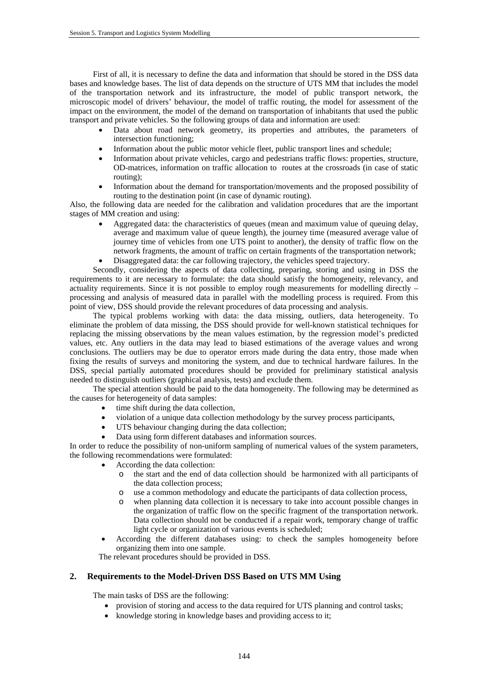First of all, it is necessary to define the data and information that should be stored in the DSS data bases and knowledge bases. The list of data depends on the structure of UTS MM that includes the model of the transportation network and its infrastructure, the model of public transport network, the microscopic model of drivers' behaviour, the model of traffic routing, the model for assessment of the impact on the environment, the model of the demand on transportation of inhabitants that used the public transport and private vehicles. So the following groups of data and information are used:

- Data about road network geometry, its properties and attributes, the parameters of intersection functioning;
- Information about the public motor vehicle fleet, public transport lines and schedule;
- Information about private vehicles, cargo and pedestrians traffic flows: properties, structure, OD-matrices, information on traffic allocation to routes at the crossroads (in case of static routing);
- Information about the demand for transportation/movements and the proposed possibility of routing to the destination point (in case of dynamic routing).

Also, the following data are needed for the calibration and validation procedures that are the important stages of MM creation and using:

 Aggregated data: the characteristics of queues (mean and maximum value of queuing delay, average and maximum value of queue length), the journey time (measured average value of journey time of vehicles from one UTS point to another), the density of traffic flow on the network fragments, the amount of traffic on certain fragments of the transportation network; Disaggregated data: the car following trajectory, the vehicles speed trajectory.

Secondly, considering the aspects of data collecting, preparing, storing and using in DSS the requirements to it are necessary to formulate: the data should satisfy the homogeneity, relevancy, and actuality requirements. Since it is not possible to employ rough measurements for modelling directly – processing and analysis of measured data in parallel with the modelling process is required. From this point of view, DSS should provide the relevant procedures of data processing and analysis.

The typical problems working with data: the data missing, outliers, data heterogeneity. To eliminate the problem of data missing, the DSS should provide for well-known statistical techniques for replacing the missing observations by the mean values estimation, by the regression model's predicted values, etc. Any outliers in the data may lead to biased estimations of the average values and wrong conclusions. The outliers may be due to operator errors made during the data entry, those made when fixing the results of surveys and monitoring the system, and due to technical hardware failures. In the DSS, special partially automated procedures should be provided for preliminary statistical analysis needed to distinguish outliers (graphical analysis, tests) and exclude them.

The special attention should be paid to the data homogeneity. The following may be determined as the causes for heterogeneity of data samples:

- time shift during the data collection,
- violation of a unique data collection methodology by the survey process participants,
- UTS behaviour changing during the data collection;
- Data using form different databases and information sources.

In order to reduce the possibility of non-uniform sampling of numerical values of the system parameters, the following recommendations were formulated:

- According the data collection:
	- o the start and the end of data collection should be harmonized with all participants of the data collection process;
	- o use a common methodology and educate the participants of data collection process,
	- when planning data collection it is necessary to take into account possible changes in the organization of traffic flow on the specific fragment of the transportation network. Data collection should not be conducted if a repair work, temporary change of traffic light cycle or organization of various events is scheduled;
- According the different databases using: to check the samples homogeneity before organizing them into one sample.

The relevant procedures should be provided in DSS.

# **2. Requirements to the Model-Driven DSS Based on UTS MM Using**

The main tasks of DSS are the following:

- provision of storing and access to the data required for UTS planning and control tasks;
- knowledge storing in knowledge bases and providing access to it: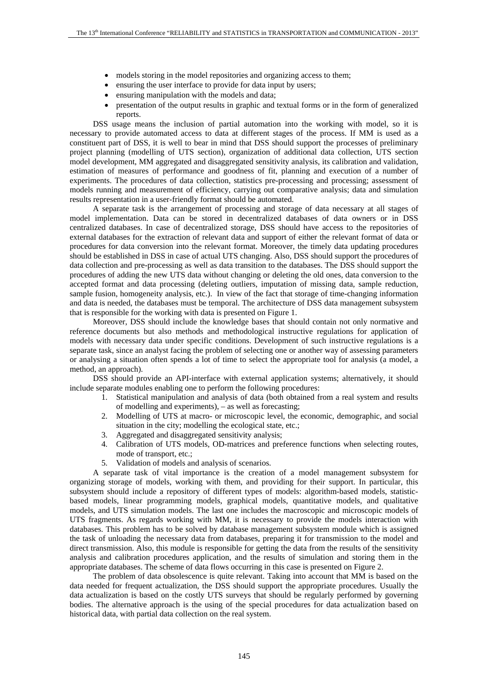- models storing in the model repositories and organizing access to them;
- ensuring the user interface to provide for data input by users;
- ensuring manipulation with the models and data;
- presentation of the output results in graphic and textual forms or in the form of generalized reports.

DSS usage means the inclusion of partial automation into the working with model, so it is necessary to provide automated access to data at different stages of the process. If MM is used as a constituent part of DSS, it is well to bear in mind that DSS should support the processes of preliminary project planning (modelling of UTS section), organization of additional data collection, UTS section model development, MM aggregated and disaggregated sensitivity analysis, its calibration and validation, estimation of measures of performance and goodness of fit, planning and execution of a number of experiments. The procedures of data collection, statistics pre-processing and processing; assessment of models running and measurement of efficiency, carrying out comparative analysis; data and simulation results representation in a user-friendly format should be automated.

A separate task is the arrangement of processing and storage of data necessary at all stages of model implementation. Data can be stored in decentralized databases of data owners or in DSS centralized databases. In case of decentralized storage, DSS should have access to the repositories of external databases for the extraction of relevant data and support of either the relevant format of data or procedures for data conversion into the relevant format. Moreover, the timely data updating procedures should be established in DSS in case of actual UTS changing. Also, DSS should support the procedures of data collection and pre-processing as well as data transition to the databases. The DSS should support the procedures of adding the new UTS data without changing or deleting the old ones, data conversion to the accepted format and data processing (deleting outliers, imputation of missing data, sample reduction, sample fusion, homogeneity analysis, etc.). In view of the fact that storage of time-changing information and data is needed, the databases must be temporal. The architecture of DSS data management subsystem that is responsible for the working with data is presented on Figure 1.

Moreover, DSS should include the knowledge bases that should contain not only normative and reference documents but also methods and methodological instructive regulations for application of models with necessary data under specific conditions. Development of such instructive regulations is a separate task, since an analyst facing the problem of selecting one or another way of assessing parameters or analysing a situation often spends a lot of time to select the appropriate tool for analysis (a model, a method, an approach).

DSS should provide an API-interface with external application systems; alternatively, it should include separate modules enabling one to perform the following procedures:

- 1. Statistical manipulation and analysis of data (both obtained from a real system and results of modelling and experiments), – as well as forecasting;
- 2. Modelling of UTS at macro- or microscopic level, the economic, demographic, and social situation in the city; modelling the ecological state, etc.;
- 3. Aggregated and disaggregated sensitivity analysis;
- 4. Calibration of UTS models, OD-matrices and preference functions when selecting routes, mode of transport, etc.;
- 5. Validation of models and analysis of scenarios.

A separate task of vital importance is the creation of a model management subsystem for organizing storage of models, working with them, and providing for their support. In particular, this subsystem should include a repository of different types of models: algorithm-based models, statisticbased models, linear programming models, graphical models, quantitative models, and qualitative models, and UTS simulation models. The last one includes the macroscopic and microscopic models of UTS fragments. As regards working with MM, it is necessary to provide the models interaction with databases. This problem has to be solved by database management subsystem module which is assigned the task of unloading the necessary data from databases, preparing it for transmission to the model and direct transmission. Also, this module is responsible for getting the data from the results of the sensitivity analysis and calibration procedures application, and the results of simulation and storing them in the appropriate databases. The scheme of data flows occurring in this case is presented on Figure 2.

The problem of data obsolescence is quite relevant. Taking into account that MM is based on the data needed for frequent actualization, the DSS should support the appropriate procedures. Usually the data actualization is based on the costly UTS surveys that should be regularly performed by governing bodies. The alternative approach is the using of the special procedures for data actualization based on historical data, with partial data collection on the real system.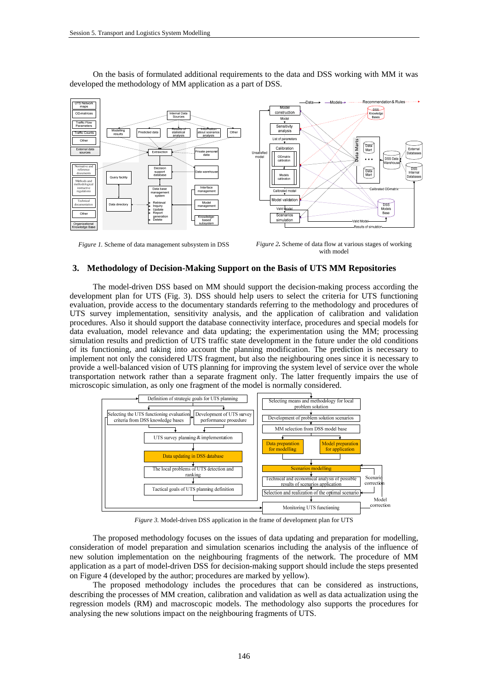

On the basis of formulated additional requirements to the data and DSS working with MM it was developed the methodology of MM application as a part of DSS.

*Figure 1.* Scheme of data management subsystem in DSS *Figure 2.* Scheme of data flow at various stages of working with model

#### **3. Methodology of Decision-Making Support on the Basis of UTS MM Repositories**

The model-driven DSS based on MM should support the decision-making process according the development plan for UTS (Fig. 3). DSS should help users to select the criteria for UTS functioning evaluation, provide access to the documentary standards referring to the methodology and procedures of UTS survey implementation, sensitivity analysis, and the application of calibration and validation procedures. Also it should support the database connectivity interface, procedures and special models for data evaluation, model relevance and data updating; the experimentation using the MM; processing simulation results and prediction of UTS traffic state development in the future under the old conditions of its functioning, and taking into account the planning modification. The prediction is necessary to implement not only the considered UTS fragment, but also the neighbouring ones since it is necessary to provide a well-balanced vision of UTS planning for improving the system level of service over the whole transportation network rather than a separate fragment only. The latter frequently impairs the use of microscopic simulation, as only one fragment of the model is normally considered.



*Figure 3.* Model-driven DSS application in the frame of development plan for UTS

The proposed methodology focuses on the issues of data updating and preparation for modelling, consideration of model preparation and simulation scenarios including the analysis of the influence of new solution implementation on the neighbouring fragments of the network. The procedure of MM application as a part of model-driven DSS for decision-making support should include the steps presented on Figure 4 (developed by the author; procedures are marked by yellow).

The proposed methodology includes the procedures that can be considered as instructions, describing the processes of MM creation, calibration and validation as well as data actualization using the regression models (RM) and macroscopic models. The methodology also supports the procedures for analysing the new solutions impact on the neighbouring fragments of UTS.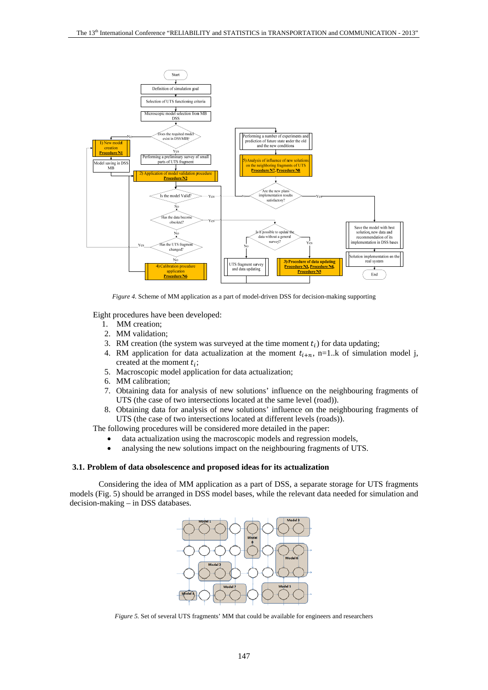

*Figure 4.* Scheme of MM application as a part of model-driven DSS for decision-making supporting

Eight procedures have been developed:

- 1. MM creation;
- 2. MM validation;
- 3. RM creation (the system was surveyed at the time moment  $t_i$ ) for data updating;
- 4. RM application for data actualization at the moment  $t_{i+n}$ , n=1.k of simulation model j, created at the moment  $t_i$ ;
- 5. Macroscopic model application for data actualization;
- 6. MM calibration;
- 7. Obtaining data for analysis of new solutions' influence on the neighbouring fragments of UTS (the case of two intersections located at the same level (road)).
- 8. Obtaining data for analysis of new solutions' influence on the neighbouring fragments of UTS (the case of two intersections located at different levels (roads)).

The following procedures will be considered more detailed in the paper:

- data actualization using the macroscopic models and regression models,
- analysing the new solutions impact on the neighbouring fragments of UTS.

#### **3.1. Problem of data obsolescence and proposed ideas for its actualization**

Considering the idea of MM application as a part of DSS, a separate storage for UTS fragments models (Fig. 5) should be arranged in DSS model bases, while the relevant data needed for simulation and decision-making – in DSS databases.



*Figure 5.* Set of several UTS fragments' MM that could be available for engineers and researchers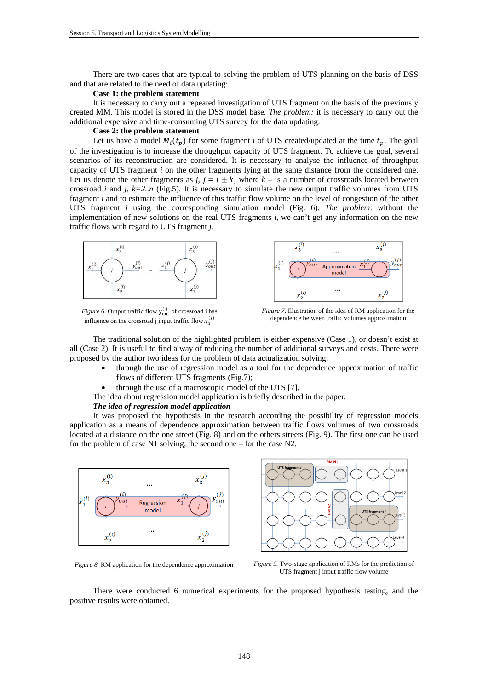There are two cases that are typical to solving the problem of UTS planning on the basis of DSS and that are related to the need of data updating:

#### **Case 1: the problem statement**

It is necessary to carry out a repeated investigation of UTS fragment on the basis of the previously created MM. This model is stored in the DSS model base. *The problem:* it is necessary to carry out the additional expensive and time-consuming UTS survey for the data updating.

# **Case 2: the problem statement**

Let us have a model  $M_i(t_n)$  for some fragment *i* of UTS created/updated at the time  $t_n$ . The goal of the investigation is to increase the throughput capacity of UTS fragment. To achieve the goal, several scenarios of its reconstruction are considered. It is necessary to analyse the influence of throughput capacity of UTS fragment *i* on the other fragments lying at the same distance from the considered one. Let us denote the other fragments as *j*,  $j = i \pm k$ , where  $k -$  is a number of crossroads located between crossroad *i* and *j*,  $k=2..n$  (Fig.5). It is necessary to simulate the new output traffic volumes from UTS fragment *i* and to estimate the influence of this traffic flow volume on the level of congestion of the other UTS fragment *j* using the corresponding simulation model (Fig. 6). *The problem*: without the implementation of new solutions on the real UTS fragments *i*, we can't get any information on the new traffic flows with regard to UTS fragment *j*.





*Figure 6.* Output traffic flow  $y_{out}^{(i)}$  of crossroad i has influence on the crossroad j input traffic flow  $x_1^{(j)}$ 

*Figure 7.* Illustration of the idea of RM application for the dependence between traffic volumes approximation

The traditional solution of the highlighted problem is either expensive (Case 1), or doesn't exist at all (Case 2). It is useful to find a way of reducing the number of additional surveys and costs. There were proposed by the author two ideas for the problem of data actualization solving:

- through the use of regression model as a tool for the dependence approximation of traffic flows of different UTS fragments (Fig.7);
- through the use of a macroscopic model of the UTS [7].
- The idea about regression model application is briefly described in the paper.

#### *The idea of regression model application*

It was proposed the hypothesis in the research according the possibility of regression models application as a means of dependence approximation between traffic flows volumes of two crossroads located at a distance on the one street (Fig. 8) and on the others streets (Fig. 9). The first one can be used for the problem of case N1 solving, the second one – for the case N2.





*Figure 8.* RM application for the dependence approximation *Figure 9.* Two-stage application of RMs for the prediction of UTS fragment j input traffic flow volume

There were conducted 6 numerical experiments for the proposed hypothesis testing, and the positive results were obtained.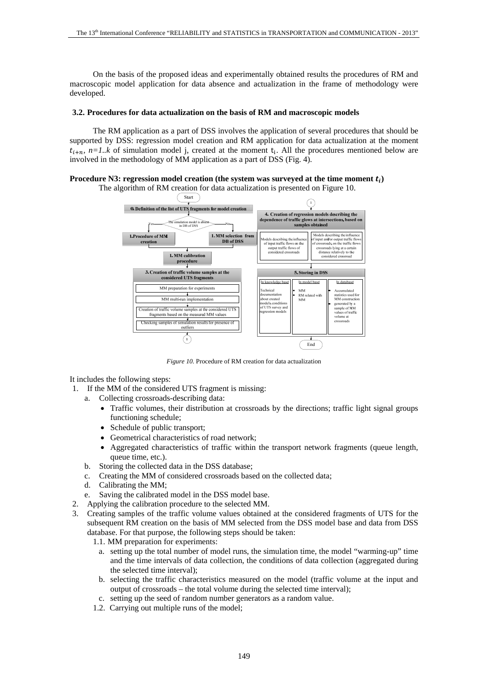On the basis of the proposed ideas and experimentally obtained results the procedures of RM and macroscopic model application for data absence and actualization in the frame of methodology were developed.

### **3.2. Procedures for data actualization on the basis of RM and macroscopic models**

The RM application as a part of DSS involves the application of several procedures that should be supported by DSS: regression model creation and RM application for data actualization at the moment  $t_{i+n}$ ,  $n=1..k$  of simulation model j, created at the moment  $t_i$ . All the procedures mentioned below are involved in the methodology of MM application as a part of DSS (Fig. 4).

## **Procedure N3: regression model creation (the system was surveyed at the time moment**  $t_i$ **)**



*Figure 10.* Procedure of RM creation for data actualization

It includes the following steps:

- 1. If the MM of the considered UTS fragment is missing:
	- a. Collecting crossroads-describing data:
		- Traffic volumes, their distribution at crossroads by the directions; traffic light signal groups functioning schedule;
		- Schedule of public transport;
		- Geometrical characteristics of road network;
		- Aggregated characteristics of traffic within the transport network fragments (queue length, queue time, etc.).
	- b. Storing the collected data in the DSS database;
	- c. Creating the MM of considered crossroads based on the collected data;
	- d. Calibrating the MM;
	- e. Saving the calibrated model in the DSS model base.
- 2. Applying the calibration procedure to the selected MM.
- 3. Creating samples of the traffic volume values obtained at the considered fragments of UTS for the subsequent RM creation on the basis of MM selected from the DSS model base and data from DSS database. For that purpose, the following steps should be taken:

1.1. MM preparation for experiments:

- a. setting up the total number of model runs, the simulation time, the model "warming-up" time and the time intervals of data collection, the conditions of data collection (aggregated during the selected time interval);
- b. selecting the traffic characteristics measured on the model (traffic volume at the input and output of crossroads – the total volume during the selected time interval);
- c. setting up the seed of random number generators as a random value.
- 1.2. Carrying out multiple runs of the model;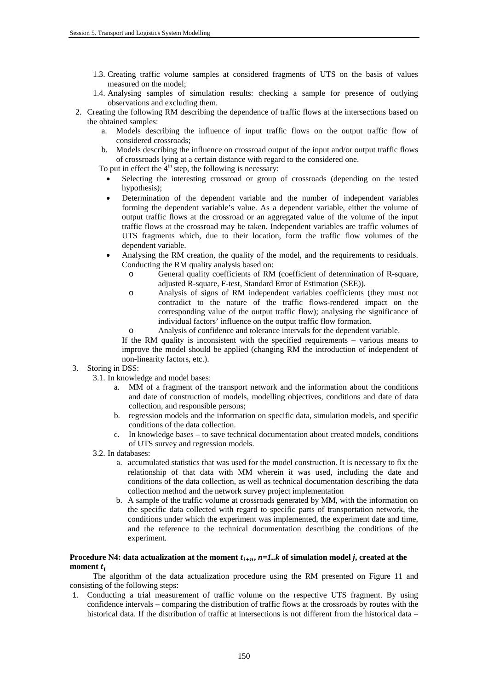- 1.3. Creating traffic volume samples at considered fragments of UTS on the basis of values measured on the model;
- 1.4. Analysing samples of simulation results: checking a sample for presence of outlying observations and excluding them.
- 2. Creating the following RM describing the dependence of traffic flows at the intersections based on the obtained samples:
	- a. Models describing the influence of input traffic flows on the output traffic flow of considered crossroads;
	- b. Models describing the influence on crossroad output of the input and/or output traffic flows of crossroads lying at a certain distance with regard to the considered one.

To put in effect the  $4<sup>th</sup>$  step, the following is necessary:

- Selecting the interesting crossroad or group of crossroads (depending on the tested hypothesis);
- Determination of the dependent variable and the number of independent variables forming the dependent variable's value. As a dependent variable, either the volume of output traffic flows at the crossroad or an aggregated value of the volume of the input traffic flows at the crossroad may be taken. Independent variables are traffic volumes of UTS fragments which, due to their location, form the traffic flow volumes of the dependent variable.
- Analysing the RM creation, the quality of the model, and the requirements to residuals. Conducting the RM quality analysis based on:
	- o General quality coefficients of RM (coefficient of determination of R-square, adjusted R-square, F-test, Standard Error of Estimation (SEE)).
	- o Analysis of signs of RM independent variables coefficients (they must not contradict to the nature of the traffic flows-rendered impact on the corresponding value of the output traffic flow); analysing the significance of individual factors' influence on the output traffic flow formation.
	- o Analysis of confidence and tolerance intervals for the dependent variable.
	- If the RM quality is inconsistent with the specified requirements various means to improve the model should be applied (changing RM the introduction of independent of non-linearity factors, etc.).

# 3. Storing in DSS:

- 3.1. In knowledge and model bases:
	- a. MM of a fragment of the transport network and the information about the conditions and date of construction of models, modelling objectives, conditions and date of data collection, and responsible persons;
	- b. regression models and the information on specific data, simulation models, and specific conditions of the data collection.
	- c. In knowledge bases to save technical documentation about created models, conditions of UTS survey and regression models.
- 3.2. In databases:
	- a. accumulated statistics that was used for the model construction. It is necessary to fix the relationship of that data with MM wherein it was used, including the date and conditions of the data collection, as well as technical documentation describing the data collection method and the network survey project implementation
	- b. A sample of the traffic volume at crossroads generated by MM, with the information on the specific data collected with regard to specific parts of transportation network, the conditions under which the experiment was implemented, the experiment date and time, and the reference to the technical documentation describing the conditions of the experiment.

# **Procedure N4: data actualization at the moment**  $t_{i+n}$ **,**  $n=1..k$  **of simulation model** *j***, created at the** moment  $t_i$

The algorithm of the data actualization procedure using the RM presented on Figure 11 and consisting of the following steps:

1. Conducting a trial measurement of traffic volume on the respective UTS fragment. By using confidence intervals – comparing the distribution of traffic flows at the crossroads by routes with the historical data. If the distribution of traffic at intersections is not different from the historical data –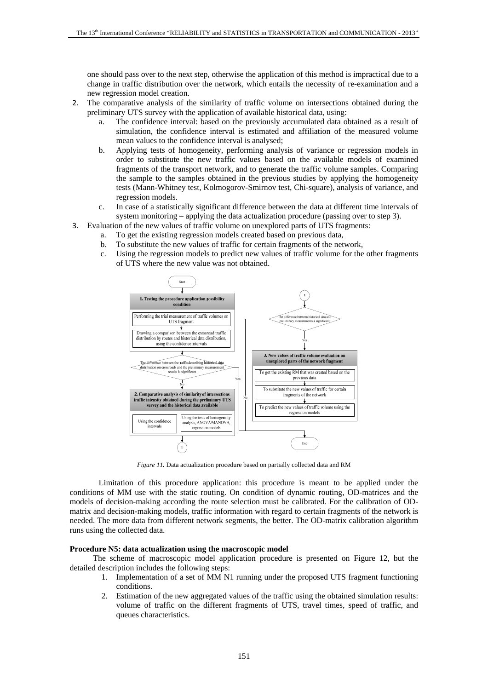one should pass over to the next step, otherwise the application of this method is impractical due to a change in traffic distribution over the network, which entails the necessity of re-examination and a new regression model creation.

- 2. The comparative analysis of the similarity of traffic volume on intersections obtained during the preliminary UTS survey with the application of available historical data, using:
	- a. The confidence interval: based on the previously accumulated data obtained as a result of simulation, the confidence interval is estimated and affiliation of the measured volume mean values to the confidence interval is analysed;
	- b. Applying tests of homogeneity, performing analysis of variance or regression models in order to substitute the new traffic values based on the available models of examined fragments of the transport network, and to generate the traffic volume samples. Comparing the sample to the samples obtained in the previous studies by applying the homogeneity tests (Mann-Whitney test, Kolmogorov-Smirnov test, Chi-square), analysis of variance, and regression models.
	- c. In case of a statistically significant difference between the data at different time intervals of system monitoring – applying the data actualization procedure (passing over to step 3).
- 3. Evaluation of the new values of traffic volume on unexplored parts of UTS fragments:
	- a. To get the existing regression models created based on previous data,
	- b. To substitute the new values of traffic for certain fragments of the network,
	- c. Using the regression models to predict new values of traffic volume for the other fragments of UTS where the new value was not obtained.



*Figure 11.* Data actualization procedure based on partially collected data and RM

Limitation of this procedure application: this procedure is meant to be applied under the conditions of MM use with the static routing. On condition of dynamic routing, OD-matrices and the models of decision-making according the route selection must be calibrated. For the calibration of ODmatrix and decision-making models, traffic information with regard to certain fragments of the network is needed. The more data from different network segments, the better. The OD-matrix calibration algorithm runs using the collected data.

#### **Procedure N5: data actualization using the macroscopic model**

The scheme of macroscopic model application procedure is presented on Figure 12, but the detailed description includes the following steps:

- 1. Implementation of a set of MM N1 running under the proposed UTS fragment functioning conditions.
- 2. Estimation of the new aggregated values of the traffic using the obtained simulation results: volume of traffic on the different fragments of UTS, travel times, speed of traffic, and queues characteristics.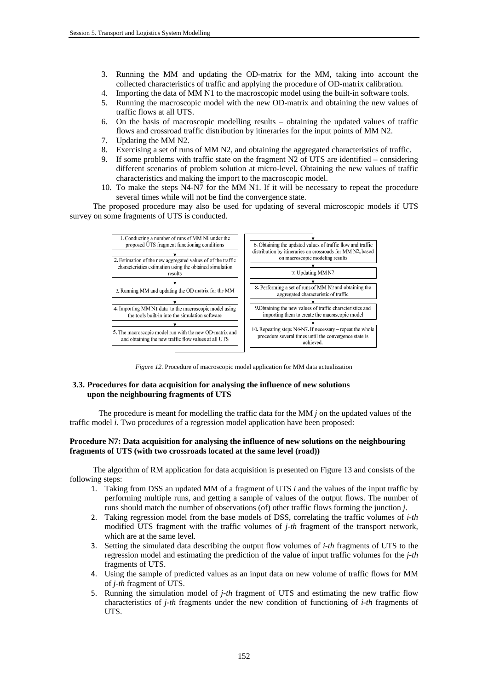- 3. Running the MM and updating the OD-matrix for the MM, taking into account the collected characteristics of traffic and applying the procedure of OD-matrix calibration.
- 4. Importing the data of MM N1 to the macroscopic model using the built-in software tools.
- 5. Running the macroscopic model with the new OD-matrix and obtaining the new values of traffic flows at all UTS.
- 6. On the basis of macroscopic modelling results obtaining the updated values of traffic flows and crossroad traffic distribution by itineraries for the input points of MM N2.
- 7. Updating the MM N2.
- 8. Exercising a set of runs of MM N2, and obtaining the aggregated characteristics of traffic.
- 9. If some problems with traffic state on the fragment N2 of UTS are identified considering different scenarios of problem solution at micro-level. Obtaining the new values of traffic characteristics and making the import to the macroscopic model.
- 10. To make the steps N4-N7 for the MM N1. If it will be necessary to repeat the procedure several times while will not be find the convergence state.

The proposed procedure may also be used for updating of several microscopic models if UTS survey on some fragments of UTS is conducted.



*Figure 12.* Procedure of macroscopic model application for MM data actualization

## **3.3. Procedures for data acquisition for analysing the influence of new solutions upon the neighbouring fragments of UTS**

The procedure is meant for modelling the traffic data for the MM *j* on the updated values of the traffic model *i*. Two procedures of a regression model application have been proposed:

### **Procedure N7: Data acquisition for analysing the influence of new solutions on the neighbouring fragments of UTS (with two crossroads located at the same level (road))**

The algorithm of RM application for data acquisition is presented on Figure 13 and consists of the following steps:

- 1. Taking from DSS an updated MM of a fragment of UTS *i* and the values of the input traffic by performing multiple runs, and getting a sample of values of the output flows. The number of runs should match the number of observations (of) other traffic flows forming the junction *j*.
- 2. Taking regression model from the base models of DSS, correlating the traffic volumes of *i-th* modified UTS fragment with the traffic volumes of *j-th* fragment of the transport network, which are at the same level.
- 3. Setting the simulated data describing the output flow volumes of *i-th* fragments of UTS to the regression model and estimating the prediction of the value of input traffic volumes for the *j-th* fragments of UTS.
- 4. Using the sample of predicted values as an input data on new volume of traffic flows for MM of *j-th* fragment of UTS.
- 5. Running the simulation model of *j-th* fragment of UTS and estimating the new traffic flow characteristics of *j-th* fragments under the new condition of functioning of *i-th* fragments of UTS.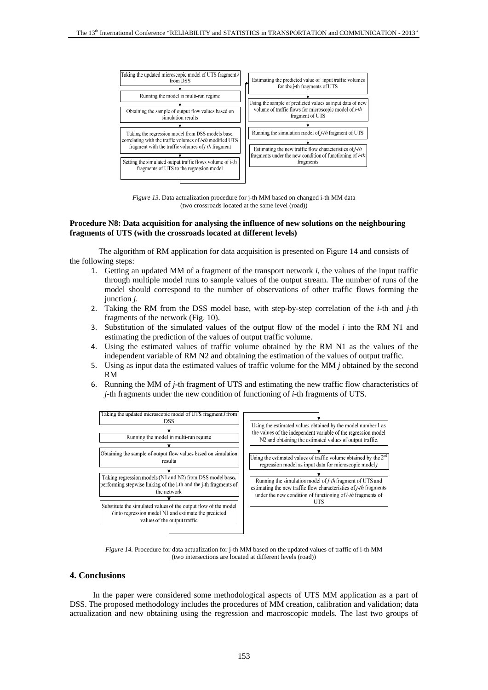

*Figure 13.* Data actualization procedure for *j*-th MM based on changed *i*-th MM data (two crossroads located at the same level (road))

#### **Procedure N8: Data acquisition for analysing the influence of new solutions on the neighbouring fragments of UTS (with the crossroads located at different levels)**

The algorithm of RM application for data acquisition is presented on Figure 14 and consists of the following steps:

- 1. Getting an updated MM of a fragment of the transport network *i*, the values of the input traffic through multiple model runs to sample values of the output stream. The number of runs of the model should correspond to the number of observations of other traffic flows forming the junction *j*.
- 2. Taking the RM from the DSS model base, with step-by-step correlation of the *i*-th and *j*-th fragments of the network (Fig. 10).
- 3. Substitution of the simulated values of the output flow of the model *i* into the RM N1 and estimating the prediction of the values of output traffic volume.
- 4. Using the estimated values of traffic volume obtained by the RM N1 as the values of the independent variable of RM N2 and obtaining the estimation of the values of output traffic.
- 5. Using as input data the estimated values of traffic volume for the MM *j* obtained by the second RM
- 6. Running the MM of *j*-th fragment of UTS and estimating the new traffic flow characteristics of *j*-th fragments under the new condition of functioning of *i*-th fragments of UTS.



*Figure 14.* Procedure for data actualization for j-th MM based on the updated values of traffic of i-th MM (two intersections are located at different levels (road))

## **4. Conclusions**

In the paper were considered some methodological aspects of UTS MM application as a part of DSS. The proposed methodology includes the procedures of MM creation, calibration and validation; data actualization and new obtaining using the regression and macroscopic models. The last two groups of